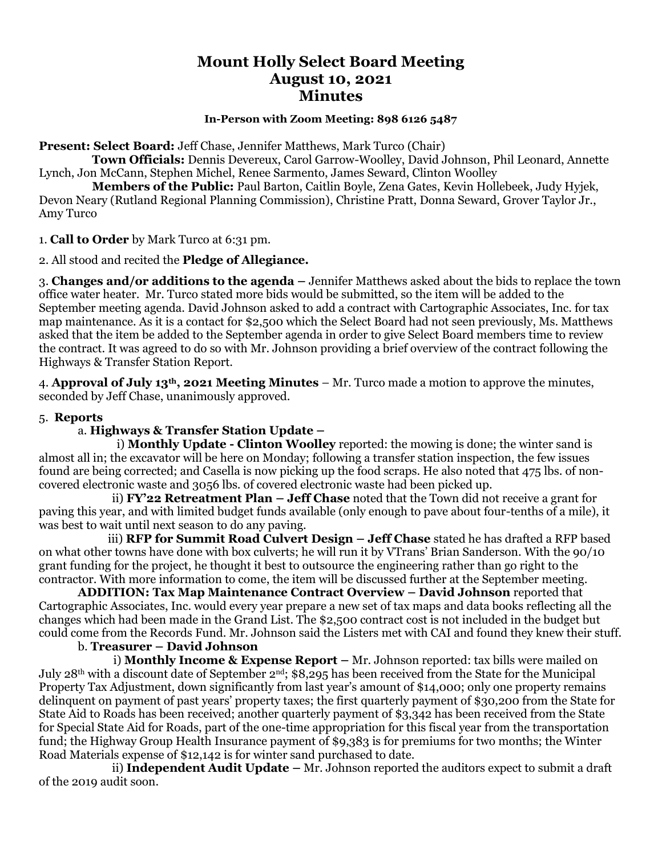# **Mount Holly Select Board Meeting August 10, 2021 Minutes**

#### **In-Person with Zoom Meeting: 898 6126 5487**

**Present: Select Board:** Jeff Chase, Jennifer Matthews, Mark Turco (Chair)

 **Town Officials:** Dennis Devereux, Carol Garrow-Woolley, David Johnson, Phil Leonard, Annette Lynch, Jon McCann, Stephen Michel, Renee Sarmento, James Seward, Clinton Woolley

 **Members of the Public:** Paul Barton, Caitlin Boyle, Zena Gates, Kevin Hollebeek, Judy Hyjek, Devon Neary (Rutland Regional Planning Commission), Christine Pratt, Donna Seward, Grover Taylor Jr., Amy Turco

1. **Call to Order** by Mark Turco at 6:31 pm.

2. All stood and recited the **Pledge of Allegiance.**

3. **Changes and/or additions to the agenda –** Jennifer Matthews asked about the bids to replace the town office water heater. Mr. Turco stated more bids would be submitted, so the item will be added to the September meeting agenda. David Johnson asked to add a contract with Cartographic Associates, Inc. for tax map maintenance. As it is a contact for \$2,500 which the Select Board had not seen previously, Ms. Matthews asked that the item be added to the September agenda in order to give Select Board members time to review the contract. It was agreed to do so with Mr. Johnson providing a brief overview of the contract following the Highways & Transfer Station Report.

4. **Approval of July 13th, 2021 Meeting Minutes** – Mr. Turco made a motion to approve the minutes, seconded by Jeff Chase, unanimously approved.

## 5. **Reports**

## a. **Highways & Transfer Station Update –**

i) **Monthly Update - Clinton Woolley** reported: the mowing is done; the winter sand is almost all in; the excavator will be here on Monday; following a transfer station inspection, the few issues found are being corrected; and Casella is now picking up the food scraps. He also noted that 475 lbs. of noncovered electronic waste and 3056 lbs. of covered electronic waste had been picked up.

 ii) **FY'22 Retreatment Plan – Jeff Chase** noted that the Town did not receive a grant for paving this year, and with limited budget funds available (only enough to pave about four-tenths of a mile), it was best to wait until next season to do any paving.

iii) **RFP for Summit Road Culvert Design – Jeff Chase** stated he has drafted a RFP based on what other towns have done with box culverts; he will run it by VTrans' Brian Sanderson. With the 90/10 grant funding for the project, he thought it best to outsource the engineering rather than go right to the contractor. With more information to come, the item will be discussed further at the September meeting.

**ADDITION: Tax Map Maintenance Contract Overview – David Johnson** reported that Cartographic Associates, Inc. would every year prepare a new set of tax maps and data books reflecting all the changes which had been made in the Grand List. The \$2,500 contract cost is not included in the budget but could come from the Records Fund. Mr. Johnson said the Listers met with CAI and found they knew their stuff.

#### b. **Treasurer – David Johnson**

 i) **Monthly Income & Expense Report –** Mr. Johnson reported: tax bills were mailed on July 28<sup>th</sup> with a discount date of September 2<sup>nd</sup>; \$8,295 has been received from the State for the Municipal Property Tax Adjustment, down significantly from last year's amount of \$14,000; only one property remains delinquent on payment of past years' property taxes; the first quarterly payment of \$30,200 from the State for State Aid to Roads has been received; another quarterly payment of \$3,342 has been received from the State for Special State Aid for Roads, part of the one-time appropriation for this fiscal year from the transportation fund; the Highway Group Health Insurance payment of \$9,383 is for premiums for two months; the Winter Road Materials expense of \$12,142 is for winter sand purchased to date.

 ii) **Independent Audit Update –** Mr. Johnson reported the auditors expect to submit a draft of the 2019 audit soon.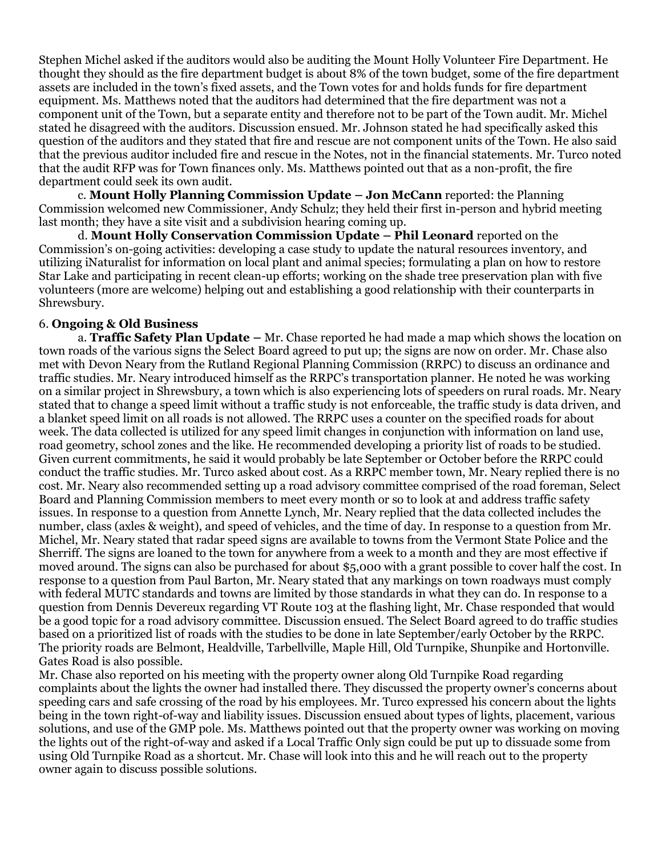Stephen Michel asked if the auditors would also be auditing the Mount Holly Volunteer Fire Department. He thought they should as the fire department budget is about 8% of the town budget, some of the fire department assets are included in the town's fixed assets, and the Town votes for and holds funds for fire department equipment. Ms. Matthews noted that the auditors had determined that the fire department was not a component unit of the Town, but a separate entity and therefore not to be part of the Town audit. Mr. Michel stated he disagreed with the auditors. Discussion ensued. Mr. Johnson stated he had specifically asked this question of the auditors and they stated that fire and rescue are not component units of the Town. He also said that the previous auditor included fire and rescue in the Notes, not in the financial statements. Mr. Turco noted that the audit RFP was for Town finances only. Ms. Matthews pointed out that as a non-profit, the fire department could seek its own audit.

c. **Mount Holly Planning Commission Update – Jon McCann** reported: the Planning Commission welcomed new Commissioner, Andy Schulz; they held their first in-person and hybrid meeting last month; they have a site visit and a subdivision hearing coming up.

d. **Mount Holly Conservation Commission Update – Phil Leonard** reported on the Commission's on-going activities: developing a case study to update the natural resources inventory, and utilizing iNaturalist for information on local plant and animal species; formulating a plan on how to restore Star Lake and participating in recent clean-up efforts; working on the shade tree preservation plan with five volunteers (more are welcome) helping out and establishing a good relationship with their counterparts in Shrewsbury.

## 6. **Ongoing & Old Business**

a. **Traffic Safety Plan Update –** Mr. Chase reported he had made a map which shows the location on town roads of the various signs the Select Board agreed to put up; the signs are now on order. Mr. Chase also met with Devon Neary from the Rutland Regional Planning Commission (RRPC) to discuss an ordinance and traffic studies. Mr. Neary introduced himself as the RRPC's transportation planner. He noted he was working on a similar project in Shrewsbury, a town which is also experiencing lots of speeders on rural roads. Mr. Neary stated that to change a speed limit without a traffic study is not enforceable, the traffic study is data driven, and a blanket speed limit on all roads is not allowed. The RRPC uses a counter on the specified roads for about week. The data collected is utilized for any speed limit changes in conjunction with information on land use, road geometry, school zones and the like. He recommended developing a priority list of roads to be studied. Given current commitments, he said it would probably be late September or October before the RRPC could conduct the traffic studies. Mr. Turco asked about cost. As a RRPC member town, Mr. Neary replied there is no cost. Mr. Neary also recommended setting up a road advisory committee comprised of the road foreman, Select Board and Planning Commission members to meet every month or so to look at and address traffic safety issues. In response to a question from Annette Lynch, Mr. Neary replied that the data collected includes the number, class (axles & weight), and speed of vehicles, and the time of day. In response to a question from Mr. Michel, Mr. Neary stated that radar speed signs are available to towns from the Vermont State Police and the Sherriff. The signs are loaned to the town for anywhere from a week to a month and they are most effective if moved around. The signs can also be purchased for about \$5,000 with a grant possible to cover half the cost. In response to a question from Paul Barton, Mr. Neary stated that any markings on town roadways must comply with federal MUTC standards and towns are limited by those standards in what they can do. In response to a question from Dennis Devereux regarding VT Route 103 at the flashing light, Mr. Chase responded that would be a good topic for a road advisory committee. Discussion ensued. The Select Board agreed to do traffic studies based on a prioritized list of roads with the studies to be done in late September/early October by the RRPC. The priority roads are Belmont, Healdville, Tarbellville, Maple Hill, Old Turnpike, Shunpike and Hortonville. Gates Road is also possible.

Mr. Chase also reported on his meeting with the property owner along Old Turnpike Road regarding complaints about the lights the owner had installed there. They discussed the property owner's concerns about speeding cars and safe crossing of the road by his employees. Mr. Turco expressed his concern about the lights being in the town right-of-way and liability issues. Discussion ensued about types of lights, placement, various solutions, and use of the GMP pole. Ms. Matthews pointed out that the property owner was working on moving the lights out of the right-of-way and asked if a Local Traffic Only sign could be put up to dissuade some from using Old Turnpike Road as a shortcut. Mr. Chase will look into this and he will reach out to the property owner again to discuss possible solutions.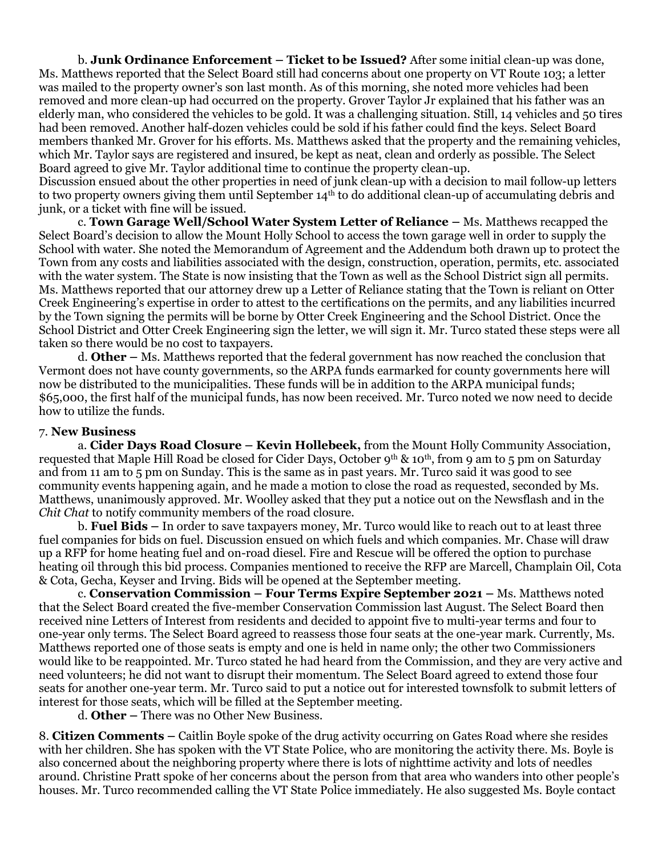b. **Junk Ordinance Enforcement – Ticket to be Issued?** After some initial clean-up was done, Ms. Matthews reported that the Select Board still had concerns about one property on VT Route 103; a letter was mailed to the property owner's son last month. As of this morning, she noted more vehicles had been removed and more clean-up had occurred on the property. Grover Taylor Jr explained that his father was an elderly man, who considered the vehicles to be gold. It was a challenging situation. Still, 14 vehicles and 50 tires had been removed. Another half-dozen vehicles could be sold if his father could find the keys. Select Board members thanked Mr. Grover for his efforts. Ms. Matthews asked that the property and the remaining vehicles, which Mr. Taylor says are registered and insured, be kept as neat, clean and orderly as possible. The Select Board agreed to give Mr. Taylor additional time to continue the property clean-up.

Discussion ensued about the other properties in need of junk clean-up with a decision to mail follow-up letters to two property owners giving them until September 14th to do additional clean-up of accumulating debris and junk, or a ticket with fine will be issued.

c. **Town Garage Well/School Water System Letter of Reliance –** Ms. Matthews recapped the Select Board's decision to allow the Mount Holly School to access the town garage well in order to supply the School with water. She noted the Memorandum of Agreement and the Addendum both drawn up to protect the Town from any costs and liabilities associated with the design, construction, operation, permits, etc. associated with the water system. The State is now insisting that the Town as well as the School District sign all permits. Ms. Matthews reported that our attorney drew up a Letter of Reliance stating that the Town is reliant on Otter Creek Engineering's expertise in order to attest to the certifications on the permits, and any liabilities incurred by the Town signing the permits will be borne by Otter Creek Engineering and the School District. Once the School District and Otter Creek Engineering sign the letter, we will sign it. Mr. Turco stated these steps were all taken so there would be no cost to taxpayers.

d. **Other –** Ms. Matthews reported that the federal government has now reached the conclusion that Vermont does not have county governments, so the ARPA funds earmarked for county governments here will now be distributed to the municipalities. These funds will be in addition to the ARPA municipal funds; \$65,000, the first half of the municipal funds, has now been received. Mr. Turco noted we now need to decide how to utilize the funds.

#### 7. **New Business**

a. **Cider Days Road Closure – Kevin Hollebeek,** from the Mount Holly Community Association, requested that Maple Hill Road be closed for Cider Days, October 9<sup>th</sup> & 10<sup>th</sup>, from 9 am to 5 pm on Saturday and from 11 am to 5 pm on Sunday. This is the same as in past years. Mr. Turco said it was good to see community events happening again, and he made a motion to close the road as requested, seconded by Ms. Matthews, unanimously approved. Mr. Woolley asked that they put a notice out on the Newsflash and in the *Chit Chat* to notify community members of the road closure.

b. **Fuel Bids –** In order to save taxpayers money, Mr. Turco would like to reach out to at least three fuel companies for bids on fuel. Discussion ensued on which fuels and which companies. Mr. Chase will draw up a RFP for home heating fuel and on-road diesel. Fire and Rescue will be offered the option to purchase heating oil through this bid process. Companies mentioned to receive the RFP are Marcell, Champlain Oil, Cota & Cota, Gecha, Keyser and Irving. Bids will be opened at the September meeting.

c. **Conservation Commission – Four Terms Expire September 2021 –** Ms. Matthews noted that the Select Board created the five-member Conservation Commission last August. The Select Board then received nine Letters of Interest from residents and decided to appoint five to multi-year terms and four to one-year only terms. The Select Board agreed to reassess those four seats at the one-year mark. Currently, Ms. Matthews reported one of those seats is empty and one is held in name only; the other two Commissioners would like to be reappointed. Mr. Turco stated he had heard from the Commission, and they are very active and need volunteers; he did not want to disrupt their momentum. The Select Board agreed to extend those four seats for another one-year term. Mr. Turco said to put a notice out for interested townsfolk to submit letters of interest for those seats, which will be filled at the September meeting.

d. **Other –** There was no Other New Business.

8. **Citizen Comments –** Caitlin Boyle spoke of the drug activity occurring on Gates Road where she resides with her children. She has spoken with the VT State Police, who are monitoring the activity there. Ms. Boyle is also concerned about the neighboring property where there is lots of nighttime activity and lots of needles around. Christine Pratt spoke of her concerns about the person from that area who wanders into other people's houses. Mr. Turco recommended calling the VT State Police immediately. He also suggested Ms. Boyle contact